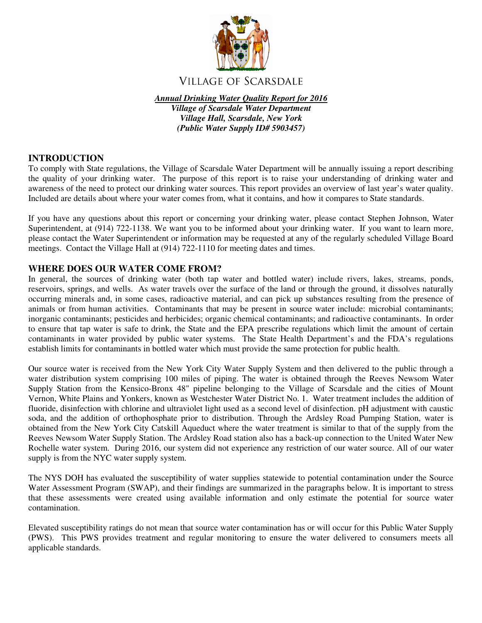

# **VILLAGE OF SCARSDALE**

*Annual Drinking Water Quality Report for 2016* 

*Village of Scarsdale Water Department Village Hall, Scarsdale, New York (Public Water Supply ID# 5903457)*

## **INTRODUCTION**

To comply with State regulations, the Village of Scarsdale Water Department will be annually issuing a report describing the quality of your drinking water. The purpose of this report is to raise your understanding of drinking water and awareness of the need to protect our drinking water sources. This report provides an overview of last year's water quality. Included are details about where your water comes from, what it contains, and how it compares to State standards.

If you have any questions about this report or concerning your drinking water, please contact Stephen Johnson, Water Superintendent, at (914) 722-1138. We want you to be informed about your drinking water. If you want to learn more, please contact the Water Superintendent or information may be requested at any of the regularly scheduled Village Board meetings. Contact the Village Hall at (914) 722-1110 for meeting dates and times.

## **WHERE DOES OUR WATER COME FROM?**

In general, the sources of drinking water (both tap water and bottled water) include rivers, lakes, streams, ponds, reservoirs, springs, and wells. As water travels over the surface of the land or through the ground, it dissolves naturally occurring minerals and, in some cases, radioactive material, and can pick up substances resulting from the presence of animals or from human activities. Contaminants that may be present in source water include: microbial contaminants; inorganic contaminants; pesticides and herbicides; organic chemical contaminants; and radioactive contaminants. In order to ensure that tap water is safe to drink, the State and the EPA prescribe regulations which limit the amount of certain contaminants in water provided by public water systems. The State Health Department's and the FDA's regulations establish limits for contaminants in bottled water which must provide the same protection for public health.

Our source water is received from the New York City Water Supply System and then delivered to the public through a water distribution system comprising 100 miles of piping. The water is obtained through the Reeves Newsom Water Supply Station from the Kensico-Bronx 48" pipeline belonging to the Village of Scarsdale and the cities of Mount Vernon, White Plains and Yonkers, known as Westchester Water District No. 1. Water treatment includes the addition of fluoride, disinfection with chlorine and ultraviolet light used as a second level of disinfection. pH adjustment with caustic soda, and the addition of orthophosphate prior to distribution. Through the Ardsley Road Pumping Station, water is obtained from the New York City Catskill Aqueduct where the water treatment is similar to that of the supply from the Reeves Newsom Water Supply Station. The Ardsley Road station also has a back-up connection to the United Water New Rochelle water system. During 2016, our system did not experience any restriction of our water source. All of our water supply is from the NYC water supply system.

The NYS DOH has evaluated the susceptibility of water supplies statewide to potential contamination under the Source Water Assessment Program (SWAP), and their findings are summarized in the paragraphs below. It is important to stress that these assessments were created using available information and only estimate the potential for source water contamination.

Elevated susceptibility ratings do not mean that source water contamination has or will occur for this Public Water Supply (PWS). This PWS provides treatment and regular monitoring to ensure the water delivered to consumers meets all applicable standards.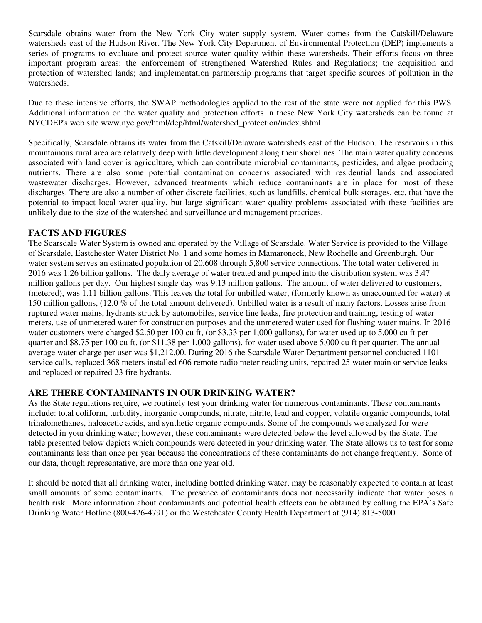Scarsdale obtains water from the New York City water supply system. Water comes from the Catskill/Delaware watersheds east of the Hudson River. The New York City Department of Environmental Protection (DEP) implements a series of programs to evaluate and protect source water quality within these watersheds. Their efforts focus on three important program areas: the enforcement of strengthened Watershed Rules and Regulations; the acquisition and protection of watershed lands; and implementation partnership programs that target specific sources of pollution in the watersheds.

Due to these intensive efforts, the SWAP methodologies applied to the rest of the state were not applied for this PWS. Additional information on the water quality and protection efforts in these New York City watersheds can be found at NYCDEP's web site www.nyc.gov/html/dep/html/watershed\_protection/index.shtml.

Specifically, Scarsdale obtains its water from the Catskill/Delaware watersheds east of the Hudson. The reservoirs in this mountainous rural area are relatively deep with little development along their shorelines. The main water quality concerns associated with land cover is agriculture, which can contribute microbial contaminants, pesticides, and algae producing nutrients. There are also some potential contamination concerns associated with residential lands and associated wastewater discharges. However, advanced treatments which reduce contaminants are in place for most of these discharges. There are also a number of other discrete facilities, such as landfills, chemical bulk storages, etc. that have the potential to impact local water quality, but large significant water quality problems associated with these facilities are unlikely due to the size of the watershed and surveillance and management practices.

## **FACTS AND FIGURES**

The Scarsdale Water System is owned and operated by the Village of Scarsdale. Water Service is provided to the Village of Scarsdale, Eastchester Water District No. 1 and some homes in Mamaroneck, New Rochelle and Greenburgh. Our water system serves an estimated population of 20,608 through 5,800 service connections. The total water delivered in 2016 was 1.26 billion gallons. The daily average of water treated and pumped into the distribution system was 3.47 million gallons per day. Our highest single day was 9.13 million gallons. The amount of water delivered to customers, (metered), was 1.11 billion gallons. This leaves the total for unbilled water, (formerly known as unaccounted for water) at 150 million gallons, (12.0 % of the total amount delivered). Unbilled water is a result of many factors. Losses arise from ruptured water mains, hydrants struck by automobiles, service line leaks, fire protection and training, testing of water meters, use of unmetered water for construction purposes and the unmetered water used for flushing water mains. In 2016 water customers were charged \$2.50 per 100 cu ft, (or \$3.33 per 1,000 gallons), for water used up to 5,000 cu ft per quarter and \$8.75 per 100 cu ft, (or \$11.38 per 1,000 gallons), for water used above 5,000 cu ft per quarter. The annual average water charge per user was \$1,212.00. During 2016 the Scarsdale Water Department personnel conducted 1101 service calls, replaced 368 meters installed 606 remote radio meter reading units, repaired 25 water main or service leaks and replaced or repaired 23 fire hydrants.

### **ARE THERE CONTAMINANTS IN OUR DRINKING WATER?**

As the State regulations require, we routinely test your drinking water for numerous contaminants. These contaminants include: total coliform, turbidity, inorganic compounds, nitrate, nitrite, lead and copper, volatile organic compounds, total trihalomethanes, haloacetic acids, and synthetic organic compounds. Some of the compounds we analyzed for were detected in your drinking water; however, these contaminants were detected below the level allowed by the State. The table presented below depicts which compounds were detected in your drinking water. The State allows us to test for some contaminants less than once per year because the concentrations of these contaminants do not change frequently. Some of our data, though representative, are more than one year old.

It should be noted that all drinking water, including bottled drinking water, may be reasonably expected to contain at least small amounts of some contaminants. The presence of contaminants does not necessarily indicate that water poses a health risk. More information about contaminants and potential health effects can be obtained by calling the EPA's Safe Drinking Water Hotline (800-426-4791) or the Westchester County Health Department at (914) 813-5000.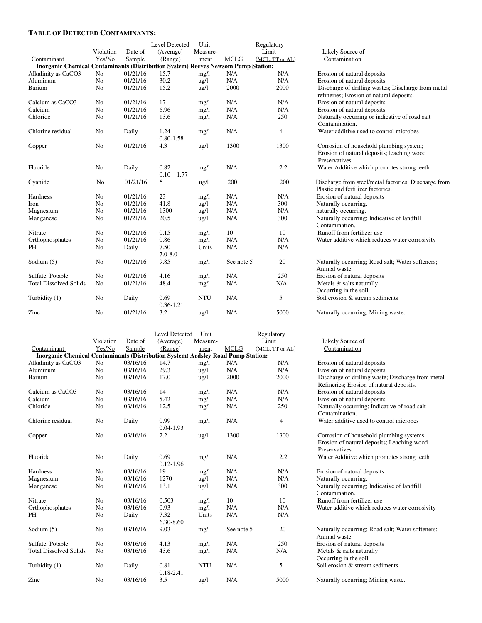#### **TABLE OF DETECTED CONTAMINANTS:**

|                                                                                          |                |          | Level Detected | Unit            |             | Regulatory      |                                                      |  |  |
|------------------------------------------------------------------------------------------|----------------|----------|----------------|-----------------|-------------|-----------------|------------------------------------------------------|--|--|
|                                                                                          | Violation      | Date of  | (Average)      | Measure-        |             | Limit           | Likely Source of                                     |  |  |
| Contaminant                                                                              | Yes/No         | Sample   | (Range)        | ment            | <b>MCLG</b> | (MCL, TT or AL) | Contamination                                        |  |  |
| <b>Inorganic Chemical Contaminants (Distribution System) Reeves Newsom Pump Station:</b> |                |          |                |                 |             |                 |                                                      |  |  |
| Alkalinity as CaCO3                                                                      | No             | 01/21/16 | 15.7           | mg/l            | N/A         | N/A             | Erosion of natural deposits                          |  |  |
| Aluminum                                                                                 | N <sub>o</sub> | 01/21/16 | 30.2           | $\frac{u g}{l}$ | N/A         | N/A             | Erosion of natural deposits                          |  |  |
| Barium                                                                                   | No             | 01/21/16 | 15.2           | $\frac{u}{2}$   | 2000        | 2000            | Discharge of drilling wastes; Discharge from metal   |  |  |
|                                                                                          |                |          |                |                 |             |                 | refineries; Erosion of natural deposits.             |  |  |
| Calcium as CaCO3                                                                         | No             | 01/21/16 | 17             | mg/l            | N/A         | N/A             | Erosion of natural deposits                          |  |  |
| Calcium                                                                                  | No             | 01/21/16 | 6.96           | mg/l            | N/A         | N/A             | Erosion of natural deposits                          |  |  |
| Chloride                                                                                 | No             | 01/21/16 | 13.6           | mg/l            | N/A         | 250             | Naturally occurring or indicative of road salt       |  |  |
|                                                                                          |                |          |                |                 |             |                 | Contamination.                                       |  |  |
| Chlorine residual                                                                        | No             | Daily    | 1.24           | mg/l            | N/A         | 4               | Water additive used to control microbes              |  |  |
|                                                                                          |                |          | $0.80 - 1.58$  |                 |             |                 |                                                      |  |  |
| Copper                                                                                   | No             | 01/21/16 | 4.3            | $\frac{u g}{l}$ | 1300        | 1300            | Corrosion of household plumbing system;              |  |  |
|                                                                                          |                |          |                |                 |             |                 | Erosion of natural deposits; leaching wood           |  |  |
|                                                                                          |                |          |                |                 |             |                 | Preservatives.                                       |  |  |
| Fluoride                                                                                 | No             | Daily    | 0.82           | mg/l            | N/A         | 2.2             | Water Additive which promotes strong teeth           |  |  |
|                                                                                          |                |          | $0.10 - 1.77$  |                 |             |                 |                                                      |  |  |
| Cyanide                                                                                  | No             | 01/21/16 | 5              | $\frac{u}{g}$   | 200         | 200             | Discharge from steel/metal factories; Discharge from |  |  |
|                                                                                          |                |          |                |                 |             |                 | Plastic and fertilizer factories.                    |  |  |
| Hardness                                                                                 | No             | 01/21/16 | 23             | mg/l            | N/A         | N/A             | Erosion of natural deposits                          |  |  |
| Iron                                                                                     | N <sub>o</sub> | 01/21/16 | 41.8           | $\frac{u g}{l}$ | N/A         | 300             | Naturally occurring.                                 |  |  |
| Magnesium                                                                                | No             | 01/21/16 | 1300           | $\frac{u g}{l}$ | N/A         | N/A             | naturally occurring.                                 |  |  |
| Manganese                                                                                | No             | 01/21/16 | 20.5           | ug/l            | N/A         | 300             | Naturally occurring; Indicative of landfill          |  |  |
|                                                                                          |                |          |                |                 |             |                 | Contamination.                                       |  |  |
| Nitrate                                                                                  | N <sub>0</sub> | 01/21/16 | 0.15           | mg/l            | 10          | 10              | Runoff from fertilizer use                           |  |  |
| Orthophosphates                                                                          | No             | 01/21/16 | 0.86           | mg/l            | N/A         | N/A             | Water additive which reduces water corrosivity       |  |  |
| PH                                                                                       | No             | Daily    | 7.50           | Units           | N/A         | N/A             |                                                      |  |  |
|                                                                                          |                |          | $7.0 - 8.0$    |                 |             |                 |                                                      |  |  |
| Sodium (5)                                                                               | No             | 01/21/16 | 9.85           | mg/l            | See note 5  | 20              | Naturally occurring; Road salt; Water softeners;     |  |  |
|                                                                                          |                |          |                |                 |             |                 | Animal waste.                                        |  |  |
| Sulfate, Potable                                                                         | N <sub>0</sub> | 01/21/16 | 4.16           | mg/l            | N/A         | 250             | Erosion of natural deposits                          |  |  |
| <b>Total Dissolved Solids</b>                                                            | No             | 01/21/16 | 48.4           | mg/l            | N/A         | N/A             | Metals & salts naturally                             |  |  |
|                                                                                          |                |          |                |                 |             |                 | Occurring in the soil                                |  |  |
| Turbidity (1)                                                                            | No             | Daily    | 0.69           | <b>NTU</b>      | N/A         | 5               | Soil erosion & stream sediments                      |  |  |
|                                                                                          |                |          | 0.36-1.21      |                 |             |                 |                                                      |  |  |
| Zinc                                                                                     | No             | 01/21/16 | 3.2            | $\frac{u g}{l}$ | N/A         | 5000            | Naturally occurring; Mining waste.                   |  |  |
|                                                                                          |                |          |                |                 |             |                 |                                                      |  |  |

|                                                                                         |                |          | Level Detected        | Unit            |             | Regulatory      |                                                                                                      |
|-----------------------------------------------------------------------------------------|----------------|----------|-----------------------|-----------------|-------------|-----------------|------------------------------------------------------------------------------------------------------|
|                                                                                         | Violation      | Date of  | (Average)             | Measure-        |             | Limit           | Likely Source of                                                                                     |
| Contaminant                                                                             | Yes/No         | Sample   | (Range)               | ment            | <b>MCLG</b> | (MCL, TT or AL) | Contamination                                                                                        |
| <b>Inorganic Chemical Contaminants (Distribution System) Ardsley Road Pump Station:</b> |                |          |                       |                 |             |                 |                                                                                                      |
| Alkalinity as CaCO3                                                                     | No             | 03/16/16 | 14.7                  | mg/l            | N/A         | N/A             | Erosion of natural deposits                                                                          |
| Aluminum                                                                                | N <sub>0</sub> | 03/16/16 | 29.3                  | $\frac{u g}{l}$ | N/A         | N/A             | Erosion of natural deposits                                                                          |
| Barium                                                                                  | N <sub>o</sub> | 03/16/16 | 17.0                  | $\frac{u}{g}$   | 2000        | 2000            | Discharge of drilling waste; Discharge fro                                                           |
|                                                                                         |                |          |                       |                 |             |                 | Refineries; Erosion of natural deposits.                                                             |
| Calcium as CaCO3                                                                        | N <sub>0</sub> | 03/16/16 | 14                    | mg/l            | N/A         | N/A             | Erosion of natural deposits                                                                          |
| Calcium                                                                                 | No             | 03/16/16 | 5.42                  | mg/l            | N/A         | N/A             | Erosion of natural deposits                                                                          |
| Chloride                                                                                | No             | 03/16/16 | 12.5                  | mg/l            | N/A         | 250             | Naturally occurring; Indicative of road sa<br>Contamination.                                         |
| Chlorine residual                                                                       | No             | Daily    | 0.99<br>$0.04 - 1.93$ | mg/l            | N/A         | 4               | Water additive used to control microbes                                                              |
| Copper                                                                                  | No             | 03/16/16 | 2.2                   | $\frac{u g}{l}$ | 1300        | 1300            | Corrosion of household plumbing system<br>Erosion of natural deposits; Leaching wo<br>Preservatives. |
| Fluoride                                                                                | No             | Daily    | 0.69<br>$0.12 - 1.96$ | mg/l            | N/A         | 2.2             | Water Additive which promotes strong te                                                              |
| <b>Hardness</b>                                                                         | N <sub>0</sub> | 03/16/16 | 19                    | mg/l            | N/A         | N/A             | Erosion of natural deposits                                                                          |
| Magnesium                                                                               | N <sub>o</sub> | 03/16/16 | 1270                  | $\frac{u}{g}$   | N/A         | N/A             | Naturally occurring.                                                                                 |
| Manganese                                                                               | N <sub>o</sub> | 03/16/16 | 13.1                  | $\frac{u g}{l}$ | N/A         | 300             | Naturally occurring; Indicative of landfill<br>Contamination.                                        |
| Nitrate                                                                                 | No             | 03/16/16 | 0.503                 | mg/l            | 10          | 10              | Runoff from fertilizer use                                                                           |
| Orthophosphates                                                                         | N <sub>o</sub> | 03/16/16 | 0.93                  | mg/l            | N/A         | N/A             | Water additive which reduces water corro                                                             |
| <b>PH</b>                                                                               | No             | Daily    | 7.32<br>6.30-8.60     | Units           | N/A         | N/A             |                                                                                                      |
| Sodium $(5)$                                                                            | N <sub>o</sub> | 03/16/16 | 9.03                  | mg/l            | See note 5  | 20              | Naturally occurring; Road salt; Water soft<br>Animal waste.                                          |
| Sulfate, Potable                                                                        | N <sub>o</sub> | 03/16/16 | 4.13                  | mg/l            | N/A         | 250             | Erosion of natural deposits                                                                          |
| <b>Total Dissolved Solids</b>                                                           | N <sub>0</sub> | 03/16/16 | 43.6                  | mg/l            | N/A         | N/A             | Metals & salts naturally                                                                             |
|                                                                                         |                |          |                       |                 |             |                 | Occurring in the soil                                                                                |
| Turbidity (1)                                                                           | No             | Daily    | 0.81<br>0.18-2.41     | <b>NTU</b>      | N/A         | 5               | Soil erosion & stream sediments                                                                      |
| Zinc                                                                                    | N <sub>0</sub> | 03/16/16 | 3.5                   | $\frac{u g}{l}$ | N/A         | 5000            | Naturally occurring; Mining waste.                                                                   |

| Likely Source of                                                                                                                                                                                                                                                                                                                          |
|-------------------------------------------------------------------------------------------------------------------------------------------------------------------------------------------------------------------------------------------------------------------------------------------------------------------------------------------|
| Contamination                                                                                                                                                                                                                                                                                                                             |
| Erosion of natural deposits<br>Erosion of natural deposits<br>Discharge of drilling wastes; Discharge from metal<br>refineries; Erosion of natural deposits.<br>Erosion of natural deposits<br>Erosion of natural deposits<br>Naturally occurring or indicative of road salt<br>Contamination.<br>Water additive used to control microbes |
| Corrosion of household plumbing system;<br>Erosion of natural deposits; leaching wood<br>Preservatives.<br>Water Additive which promotes strong teeth                                                                                                                                                                                     |
| Discharge from steel/metal factories; Discharge from<br>Plastic and fertilizer factories.<br>Erosion of natural deposits<br>Naturally occurring.<br>naturally occurring.<br>Naturally occurring; Indicative of landfill<br>Contamination.<br>Runoff from fertilizer use<br>Water additive which reduces water corrosivity                 |
| Naturally occurring; Road salt; Water softeners;<br>Animal waste.<br>Erosion of natural deposits<br>Metals & salts naturally<br>Occurring in the soil<br>Soil erosion & stream sediments                                                                                                                                                  |

#### Likely Source of Contamination

Erosion of natural deposits Erosion of natural deposits Discharge of drilling waste; Discharge from metal Refineries; Erosion of natural deposits. Erosion of natural deposits Erosion of natural deposits Naturally occurring; Indicative of road salt Contamination. Water additive used to control microbes Corrosion of household plumbing systems; Erosion of natural deposits; Leaching wood Preservatives. Water Additive which promotes strong teeth Erosion of natural deposits Contamination. Runoff from fertilizer use Water additive which reduces water corrosivity Naturally occurring; Road salt; Water softeners; Animal waste. Erosion of natural deposits Metals & salts naturally Occurring in the soil Soil erosion  $&$  stream sediments Naturally occurring; Mining waste.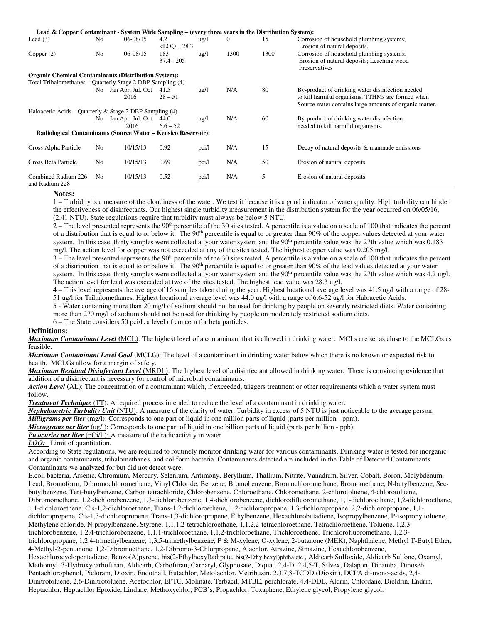| Lead & Copper Contaminant - System Wide Sampling – (every three years in the Distribution System): |                |                                   |                         |                 |          |      |                                                                                                                                                                |
|----------------------------------------------------------------------------------------------------|----------------|-----------------------------------|-------------------------|-----------------|----------|------|----------------------------------------------------------------------------------------------------------------------------------------------------------------|
| Lead $(3)$                                                                                         | No             | 06-08/15                          | 4.2<br>$<$ LOQ $-$ 28.3 | $\frac{u g}{l}$ | $\theta$ | 15   | Corrosion of household plumbing systems;<br>Erosion of natural deposits.                                                                                       |
| Copper(2)                                                                                          | No             | 06-08/15                          | 183<br>$37.4 - 205$     | ug/l            | 1300     | 1300 | Corrosion of household plumbing systems;<br>Erosion of natural deposits; Leaching wood<br>Preservatives                                                        |
| <b>Organic Chemical Contaminants (Distribution System):</b>                                        |                |                                   |                         |                 |          |      |                                                                                                                                                                |
| Total Trihalomethanes – Quarterly Stage 2 DBP Sampling (4)                                         |                |                                   |                         |                 |          |      |                                                                                                                                                                |
|                                                                                                    | No.            | Jan Apr. Jul. Oct<br>2016         | 41.5<br>$28 - 51$       | ug/l            | N/A      | 80   | By-product of drinking water disinfection needed<br>to kill harmful organisms. TTHMs are formed when<br>Source water contains large amounts of organic matter. |
| Haloacetic Acids – Quarterly & Stage 2 DBP Sampling $(4)$                                          |                |                                   |                         |                 |          |      |                                                                                                                                                                |
|                                                                                                    |                | No Jan Apr. Jul. Oct 44.0<br>2016 | $6.6 - 52$              | $\frac{u g}{l}$ | N/A      | 60   | By-product of drinking water disinfection<br>needed to kill harmful organisms.                                                                                 |
| Radiological Contaminants (Source Water – Kensico Reservoir):                                      |                |                                   |                         |                 |          |      |                                                                                                                                                                |
| Gross Alpha Particle                                                                               | No             | 10/15/13                          | 0.92                    | pci/l           | N/A      | 15   | Decay of natural deposits & manmade emissions                                                                                                                  |
| Gross Beta Particle                                                                                | N <sub>0</sub> | 10/15/13                          | 0.69                    | pci/l           | N/A      | 50   | Erosion of natural deposits                                                                                                                                    |
| Combined Radium 226<br>and Radium 228                                                              | No.            | 10/15/13                          | 0.52                    | pci/l           | N/A      | 5    | Erosion of natural deposits                                                                                                                                    |

#### **Notes:**

1 – Turbidity is a measure of the cloudiness of the water. We test it because it is a good indicator of water quality. High turbidity can hinder the effectiveness of disinfectants. Our highest single turbidity measurement in the distribution system for the year occurred on 06/05/16, (2.41 NTU). State regulations require that turbidity must always be below 5 NTU.

 $2 -$  The level presented represents the 90<sup>th</sup> percentile of the 30 sites tested. A percentile is a value on a scale of 100 that indicates the percent of a distribution that is equal to or below it. The 90<sup>th</sup> percentile is equal to or greater than 90% of the copper values detected at your water system. In this case, thirty samples were collected at your water system and the 90<sup>th</sup> percentile value was the 27th value which was 0.183 mg/l. The action level for copper was not exceeded at any of the sites tested. The highest copper value was 0.205 mg/l.

 $3$  – The level presented represents the 90<sup>th</sup> percentile of the 30 sites tested. A percentile is a value on a scale of 100 that indicates the percent of a distribution that is equal to or below it. The 90<sup>th</sup> percentile is equal to or greater than 90% of the lead values detected at your water system. In this case, thirty samples were collected at your water system and the 90<sup>th</sup> percentile value was the 27th value which was 4.2 ug/l. The action level for lead was exceeded at two of the sites tested. The highest lead value was 28.3 ug/l.

4 – This level represents the average of 16 samples taken during the year. Highest locational average level was 41.5 ug/l with a range of 28- 51 ug/l for Trihalomethanes. Highest locational average level was 44.0 ug/l with a range of 6.6-52 ug/l for Haloacetic Acids.

5 - Water containing more than 20 mg/l of sodium should not be used for drinking by people on severely restricted diets. Water containing more than 270 mg/l of sodium should not be used for drinking by people on moderately restricted sodium diets.

6 – The State considers 50 pci/L a level of concern for beta particles.

#### **Definitions:**

*Maximum Contaminant Level* **(**MCL): The highest level of a contaminant that is allowed in drinking water. MCLs are set as close to the MCLGs as feasible.

*Maximum Contaminant Level Goal* (MCLG): The level of a contaminant in drinking water below which there is no known or expected risk to health. MCLGs allow for a margin of safety.

*Maximum Residual Disinfectant Level* (MRDL): The highest level of a disinfectant allowed in drinking water. There is convincing evidence that addition of a disinfectant is necessary for control of microbial contaminants.

*Action Level* **(**AL): The concentration of a contaminant which, if exceeded, triggers treatment or other requirements which a water system must follow.

*Treatment Technique* (TT): A required process intended to reduce the level of a contaminant in drinking water.

*Nephelometric Turbidity Unit* (NTU): A measure of the clarity of water. Turbidity in excess of 5 NTU is just noticeable to the average person.

*Milligrams per liter* (mg/l): Corresponds to one part of liquid in one million parts of liquid (parts per million - ppm).

*Micrograms per liter* (ug/l): Corresponds to one part of liquid in one billion parts of liquid (parts per billion - ppb).

*Picocuries per liter* (pCi/L): A measure of the radioactivity in water.

*LOQ:* Limit of quantitation.

According to State regulations, we are required to routinely monitor drinking water for various contaminants. Drinking water is tested for inorganic and organic contaminants, trihalomethanes, and coliform bacteria. Contaminants detected are included in the Table of Detected Contaminants. Contaminants we analyzed for but did not detect were:

E.coli bacteria, Arsenic, Chromium, Mercury, Selenium, Antimony, Beryllium, Thallium, Nitrite, Vanadium, Silver, Cobalt, Boron, Molybdenum, Lead, Bromoform, Dibromochloromethane, Vinyl Chloride, Benzene, Bromobenzene, Bromochloromethane, Bromomethane, N-butylbenzene, Secbutylbenzene, Tert-butylbenzene, Carbon tetrachloride, Chlorobenzene, Chloroethane, Chloromethane, 2-chlorotoluene, 4-chlorotoluene, Dibromomethane, 1,2-dichlorobenzene, 1,3-dichlorobenzene, 1,4-dichlorobenzene, dichlorodifluoromethane, 1,1-dichloroethane, 1,2-dichloroethane, 1,1-dichloroethene, Cis-1,2-dichloroethene, Trans-1,2-dichloroethene, 1,2-dichloropropane, 1,3-dichloropropane, 2,2-dichloropropane, 1,1 dichloropropene, Cis-1,3-dichloropropene, Trans-1,3-dichloropropene, Ethylbenzene, Hexachlorobutadiene, Isopropylbenzene, P-isopropyltoluene, Methylene chloride, N-propylbenzene, Styrene, 1,1,1,2-tetrachloroethane, 1,1,2,2-tetrachloroethane, Tetrachloroethene, Toluene, 1,2,3 trichlorobenzene, 1,2,4-trichlorobenzene, 1,1,1-trichloroethane, 1,1,2-trichloroethane, Trichloroethene, Trichlorofluoromethane, 1,2,3 trichloropropane, 1,2,4-trimethylbenzene, 1,3,5-trimethylbenzene, P & M-xylene, O-xylene, 2-butanone (MEK), Naphthalene, Methyl T-Butyl Ether, 4-Methyl-2-pentanone, 1,2-Dibromoethane, 1,2-Dibromo-3-Chlorpropane, Alachlor, Atrazine, Simazine, Hexachlorobenzene, Hexachlorocyclopentadiene, Benzo(A)pyrene, bis(2-Ethylhexyl)adipate, bis(2-Ethylhexyl)phthalate , Aldicarb Sulfoxide, Aldicarb Sulfone, Oxamyl, Methomyl, 3-Hydroxycarbofuran, Aldicarb, Carbofuran, Carbaryl, Glyphosate, Diquat, 2,4-D, 2,4,5-T, Silvex, Dalapon, Dicamba, Dinoseb, Pentachlorophenol, Picloram, Dioxin, Endothall, Butachlor, Metolachlor, Metribuzin, 2,3,7,8-TCDD (Dioxin), DCPA di-mono-acids, 2,4- Dinitrotoluene, 2,6-Dinitrotoluene, Acetochlor, EPTC, Molinate, Terbacil, MTBE, perchlorate, 4,4-DDE, Aldrin, Chlordane, Dieldrin, Endrin, Heptachlor, Heptachlor Epoxide, Lindane, Methoxychlor, PCB's, Propachlor, Toxaphene, Ethylene glycol, Propylene glycol.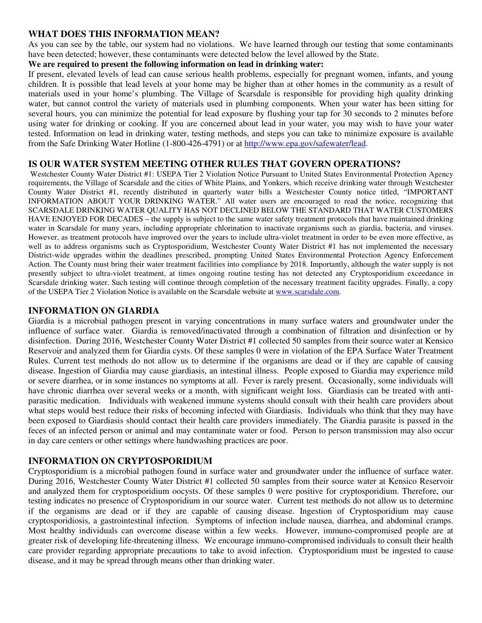### **WHAT DOES THIS INFORMATION MEAN?**

As you can see by the table, our system had no violations. We have learned through our testing that some contaminants have been detected; however, these contaminants were detected below the level allowed by the State.

#### **We are required to present the following information on lead in drinking water:**

If present, elevated levels of lead can cause serious health problems, especially for pregnant women, infants, and young children. It is possible that lead levels at your home may be higher than at other homes in the community as a result of materials used in your home's plumbing. The Village of Scarsdale is responsible for providing high quality drinking water, but cannot control the variety of materials used in plumbing components. When your water has been sitting for several hours, you can minimize the potential for lead exposure by flushing your tap for 30 seconds to 2 minutes before using water for drinking or cooking. If you are concerned about lead in your water, you may wish to have your water tested. Information on lead in drinking water, testing methods, and steps you can take to minimize exposure is available from the Safe Drinking Water Hotline (1-800-426-4791) or at http://www.epa.gov/safewater/lead.

## **IS OUR WATER SYSTEM MEETING OTHER RULES THAT GOVERN OPERATIONS?**

 Westchester County Water District #1: USEPA Tier 2 Violation Notice Pursuant to United States Environmental Protection Agency requirements, the Village of Scarsdale and the cities of White Plains, and Yonkers, which receive drinking water through Westchester County Water District #1, recently distributed in quarterly water bills a Westchester County notice titled, "IMPORTANT INFORMATION ABOUT YOUR DRINKING WATER." All water users are encouraged to read the notice, recognizing that SCARSDALE DRINKING WATER QUALITY HAS NOT DECLINED BELOW THE STANDARD THAT WATER CUSTOMERS HAVE ENJOYED FOR DECADES – the supply is subject to the same water safety treatment protocols that have maintained drinking water in Scarsdale for many years, including appropriate chlorination to inactivate organisms such as giardia, bacteria, and viruses. However, as treatment protocols have improved over the years to include ultra-violet treatment in order to be even more effective, as well as to address organisms such as Cryptosporidium, Westchester County Water District #1 has not implemented the necessary District-wide upgrades within the deadlines prescribed, prompting United States Environmental Protection Agency Enforcement Action. The County must bring their water treatment facilities into compliance by 2018. Importantly, although the water supply is not presently subject to ultra-violet treatment, at times ongoing routine testing has not detected any Cryptosporidium exceedance in Scarsdale drinking water. Such testing will continue through completion of the necessary treatment facility upgrades. Finally, a copy of the USEPA Tier 2 Violation Notice is available on the Scarsdale website at www.scarsdale.com.

#### **INFORMATION ON GIARDIA**

Giardia is a microbial pathogen present in varying concentrations in many surface waters and groundwater under the influence of surface water. Giardia is removed/inactivated through a combination of filtration and disinfection or by disinfection. During 2016, Westchester County Water District #1 collected 50 samples from their source water at Kensico Reservoir and analyzed them for Giardia cysts. Of these samples 0 were in violation of the EPA Surface Water Treatment Rules. Current test methods do not allow us to determine if the organisms are dead or if they are capable of causing disease. Ingestion of Giardia may cause giardiasis, an intestinal illness. People exposed to Giardia may experience mild or severe diarrhea, or in some instances no symptoms at all. Fever is rarely present. Occasionally, some individuals will have chronic diarrhea over several weeks or a month, with significant weight loss. Giardiasis can be treated with antiparasitic medication. Individuals with weakened immune systems should consult with their health care providers about what steps would best reduce their risks of becoming infected with Giardiasis. Individuals who think that they may have been exposed to Giardiasis should contact their health care providers immediately. The Giardia parasite is passed in the feces of an infected person or animal and may contaminate water or food. Person to person transmission may also occur in day care centers or other settings where handwashing practices are poor.

### **INFORMATION ON CRYPTOSPORIDIUM**

Cryptosporidium is a microbial pathogen found in surface water and groundwater under the influence of surface water. During 2016, Westchester County Water District #1 collected 50 samples from their source water at Kensico Reservoir and analyzed them for cryptosporidium oocysts. Of these samples 0 were positive for cryptosporidium. Therefore, our testing indicates no presence of Cryptosporidium in our source water. Current test methods do not allow us to determine if the organisms are dead or if they are capable of causing disease. Ingestion of Cryptosporidium may cause cryptosporidiosis, a gastrointestinal infection. Symptoms of infection include nausea, diarrhea, and abdominal cramps. Most healthy individuals can overcome disease within a few weeks. However, immuno-compromised people are at greater risk of developing life-threatening illness. We encourage immuno-compromised individuals to consult their health care provider regarding appropriate precautions to take to avoid infection. Cryptosporidium must be ingested to cause disease, and it may be spread through means other than drinking water.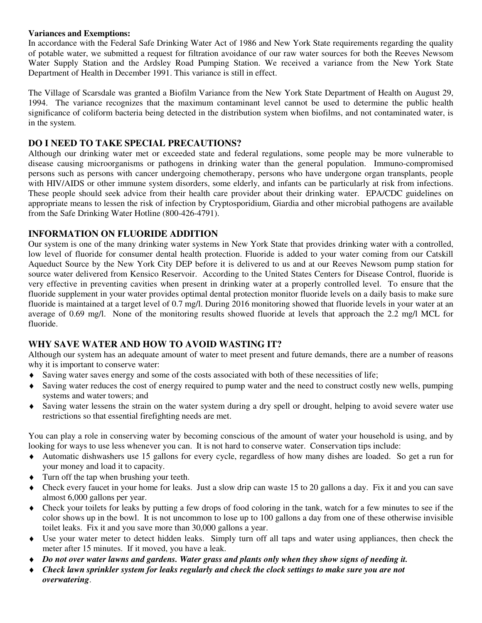#### **Variances and Exemptions:**

In accordance with the Federal Safe Drinking Water Act of 1986 and New York State requirements regarding the quality of potable water, we submitted a request for filtration avoidance of our raw water sources for both the Reeves Newsom Water Supply Station and the Ardsley Road Pumping Station. We received a variance from the New York State Department of Health in December 1991. This variance is still in effect.

The Village of Scarsdale was granted a Biofilm Variance from the New York State Department of Health on August 29, 1994. The variance recognizes that the maximum contaminant level cannot be used to determine the public health significance of coliform bacteria being detected in the distribution system when biofilms, and not contaminated water, is in the system.

## **DO I NEED TO TAKE SPECIAL PRECAUTIONS?**

Although our drinking water met or exceeded state and federal regulations, some people may be more vulnerable to disease causing microorganisms or pathogens in drinking water than the general population. Immuno-compromised persons such as persons with cancer undergoing chemotherapy, persons who have undergone organ transplants, people with HIV/AIDS or other immune system disorders, some elderly, and infants can be particularly at risk from infections. These people should seek advice from their health care provider about their drinking water. EPA/CDC guidelines on appropriate means to lessen the risk of infection by Cryptosporidium, Giardia and other microbial pathogens are available from the Safe Drinking Water Hotline (800-426-4791).

## **INFORMATION ON FLUORIDE ADDITION**

Our system is one of the many drinking water systems in New York State that provides drinking water with a controlled, low level of fluoride for consumer dental health protection. Fluoride is added to your water coming from our Catskill Aqueduct Source by the New York City DEP before it is delivered to us and at our Reeves Newsom pump station for source water delivered from Kensico Reservoir. According to the United States Centers for Disease Control, fluoride is very effective in preventing cavities when present in drinking water at a properly controlled level. To ensure that the fluoride supplement in your water provides optimal dental protection monitor fluoride levels on a daily basis to make sure fluoride is maintained at a target level of 0.7 mg/l. During 2016 monitoring showed that fluoride levels in your water at an average of 0.69 mg/l. None of the monitoring results showed fluoride at levels that approach the 2.2 mg/l MCL for fluoride.

## **WHY SAVE WATER AND HOW TO AVOID WASTING IT?**

Although our system has an adequate amount of water to meet present and future demands, there are a number of reasons why it is important to conserve water:

- ♦ Saving water saves energy and some of the costs associated with both of these necessities of life;
- ♦ Saving water reduces the cost of energy required to pump water and the need to construct costly new wells, pumping systems and water towers; and
- Saving water lessens the strain on the water system during a dry spell or drought, helping to avoid severe water use restrictions so that essential firefighting needs are met.

You can play a role in conserving water by becoming conscious of the amount of water your household is using, and by looking for ways to use less whenever you can. It is not hard to conserve water. Conservation tips include:

- Automatic dishwashers use 15 gallons for every cycle, regardless of how many dishes are loaded. So get a run for your money and load it to capacity.
- ♦ Turn off the tap when brushing your teeth.
- Check every faucet in your home for leaks. Just a slow drip can waste 15 to 20 gallons a day. Fix it and you can save almost 6,000 gallons per year.
- Check your toilets for leaks by putting a few drops of food coloring in the tank, watch for a few minutes to see if the color shows up in the bowl. It is not uncommon to lose up to 100 gallons a day from one of these otherwise invisible toilet leaks. Fix it and you save more than 30,000 gallons a year.
- Use your water meter to detect hidden leaks. Simply turn off all taps and water using appliances, then check the meter after 15 minutes. If it moved, you have a leak.
- ♦ *Do not over water lawns and gardens. Water grass and plants only when they show signs of needing it.*
- ♦ *Check lawn sprinkler system for leaks regularly and check the clock settings to make sure you are not overwatering*.